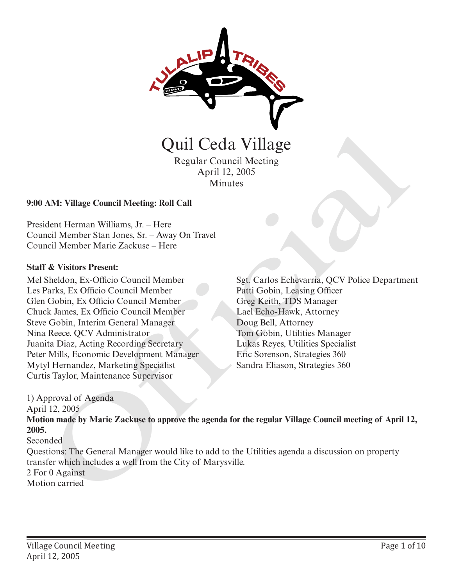

# Regular Council Meeting April 12, 2005 **Minutes**

#### **9:00 AM: Village Council Meeting: Roll Call**

President Herman Williams, Jr. – Here Council Member Stan Jones, Sr. – Away On Travel Council Member Marie Zackuse – Here

#### **Staff & Visitors Present:**

Mel Sheldon, Ex-Officio Council Member Les Parks, Ex Officio Council Member Glen Gobin, Ex Officio Council Member Chuck James, Ex Officio Council Member Steve Gobin, Interim General Manager Nina Reece, QCV Administrator Juanita Diaz, Acting Recording Secretary Peter Mills, Economic Development Manager Mytyl Hernandez, Marketing Specialist Curtis Taylor, Maintenance Supervisor **CHATEST CONTROVIDE CONTROVIDED**<br>
Regular Council Meeting<br>
April 12, 2005<br>
Minutes<br>
AM: Village Council Meeting: Roll Call<br>
dent Herman Williams, Jr. – Here<br>
Incident Herman Williams, Jr. – Here<br>
Folk Visitor Present:<br>
Str

Sgt. Carlos Echevarria, QCV Police Department Patti Gobin, Leasing Officer Greg Keith, TDS Manager Lael Echo-Hawk, Attorney Doug Bell, Attorney Tom Gobin, Utilities Manager Lukas Reyes, Utilities Specialist Eric Sorenson, Strategies 360

1) Approval of Agenda

April 12, 2005

**Motion made by Marie Zackuse to approve the agenda for the regular Village Council meeting of April 12, 2005.** 

Seconded

Questions: The General Manager would like to add to the Utilities agenda a discussion on property transfer which includes a well from the City of Marysville.

2 For 0 Against

Motion carried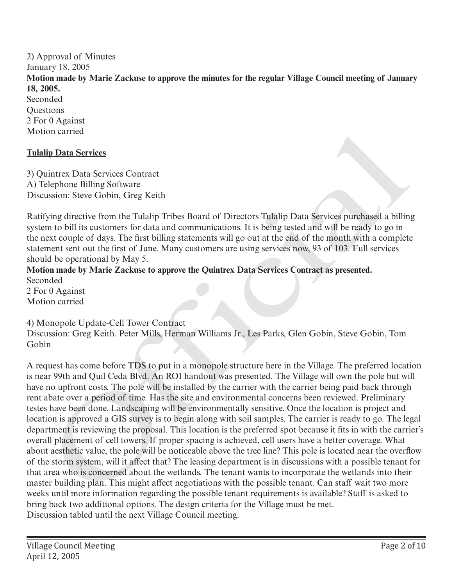2) Approval of Minutes January 18, 2005 **Motion made by Marie Zackuse to approve the minutes for the regular Village Council meeting of January 18, 2005.**  Seconded **Ouestions** 2 For 0 Against Motion carried

# **Tulalip Data Services**

3) Quintrex Data Services Contract A) Telephone Billing Software Discussion: Steve Gobin, Greg Keith

Ratifying directive from the Tulalip Tribes Board of Directors Tulalip Data Services purchased a billing system to bill its customers for data and communications. It is being tested and will be ready to go in the next couple of days. The first billing statements will go out at the end of the month with a complete statement sent out the first of June. Many customers are using services now, 93 of 103. Full services should be operational by May 5.

**Motion made by Marie Zackuse to approve the Quintrex Data Services Contract as presented.** Seconded 2 For 0 Against Motion carried

### 4) Monopole Update-Cell Tower Contract

Discussion: Greg Keith. Peter Mills, Herman Williams Jr., Les Parks, Glen Gobin, Steve Gobin, Tom Gobin

A request has come before TDS to put in a monopole structure here in the Village. The preferred location is near 99th and Quil Ceda Blvd. An ROI handout was presented. The Village will own the pole but will have no upfront costs. The pole will be installed by the carrier with the carrier being paid back through rent abate over a period of time. Has the site and environmental concerns been reviewed. Preliminary testes have been done. Landscaping will be environmentally sensitive. Once the location is project and location is approved a GIS survey is to begin along with soil samples. The carrier is ready to go. The legal department is reviewing the proposal. This location is the preferred spot because it fits in with the carrier's overall placement of cell towers. If proper spacing is achieved, cell users have a better coverage. What about aesthetic value, the pole will be noticeable above the tree line? This pole is located near the overflow of the storm system, will it affect that? The leasing department is in discussions with a possible tenant for that area who is concerned about the wetlands. The tenant wants to incorporate the wetlands into their master building plan. This might affect negotiations with the possible tenant. Can staff wait two more weeks until more information regarding the possible tenant requirements is available? Staff is asked to bring back two additional options. The design criteria for the Village must be met. Discussion tabled until the next Village Council meeting. in antest<br>
in Data Services<br>
in the Services Contract<br>
in the state services Contract<br>
in the bill its extendes of data and communications. It is being tested and will be nearby to go in<br>
the state of the state and contrac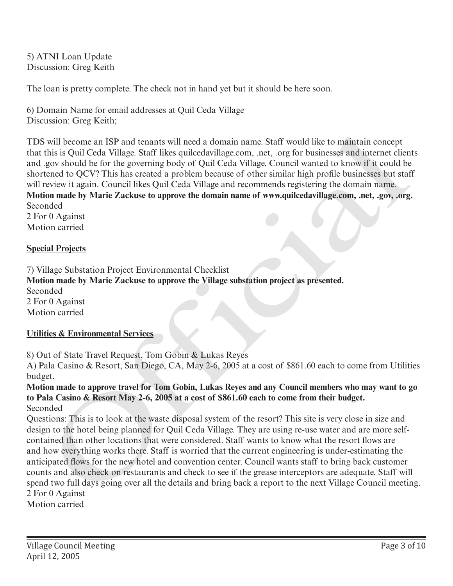5) ATNI Loan Update Discussion: Greg Keith

The loan is pretty complete. The check not in hand yet but it should be here soon.

6) Domain Name for email addresses at Quil Ceda Village Discussion: Greg Keith;

TDS will become an ISP and tenants will need a domain name. Staff would like to maintain concept that this is Quil Ceda Village. Staff likes quilcedavillage.com, .net, .org for businesses and internet clients and .gov should be for the governing body of Quil Ceda Village. Council wanted to know if it could be shortened to QCV? This has created a problem because of other similar high profile businesses but staff will review it again. Council likes Quil Ceda Village and recommends registering the domain name. **Motion made by Marie Zackuse to approve the domain name of www.quilcedavillage.com, .net, .gov, .org.** Seconded

2 For 0 Against Motion carried

# **Special Projects**

7) Village Substation Project Environmental Checklist **Motion made by Marie Zackuse to approve the Village substation project as presented.** Seconded 2 For 0 Against Motion carried

### **Utilities & Environmental Services**

8) Out of State Travel Request, Tom Gobin & Lukas Reyes

A) Pala Casino & Resort, San Diego, CA, May 2-6, 2005 at a cost of \$861.60 each to come from Utilities budget.

**Motion made to approve travel for Tom Gobin, Lukas Reyes and any Council members who may want to go to Pala Casino & Resort May 2-6, 2005 at a cost of \$861.60 each to come from their budget.** Seconded

Questions: This is to look at the waste disposal system of the resort? This site is very close in size and design to the hotel being planned for Quil Ceda Village. They are using re-use water and are more selfcontained than other locations that were considered. Staff wants to know what the resort flows are and how everything works there. Staff is worried that the current engineering is under-estimating the anticipated flows for the new hotel and convention center. Council wants staff to bring back customer counts and also check on restaurants and check to see if the grease interceptors are adequate. Staff will spend two full days going over all the details and bring back a report to the next Village Council meeting. will become an ISP and tenants will need a domain name. Staff would like to maintain concept<br>this is Quil Ceda Village. Staff likes quicedealilage.com, net, or for businesses and internet elient<br>energy of solid be for the

2 For 0 Against Motion carried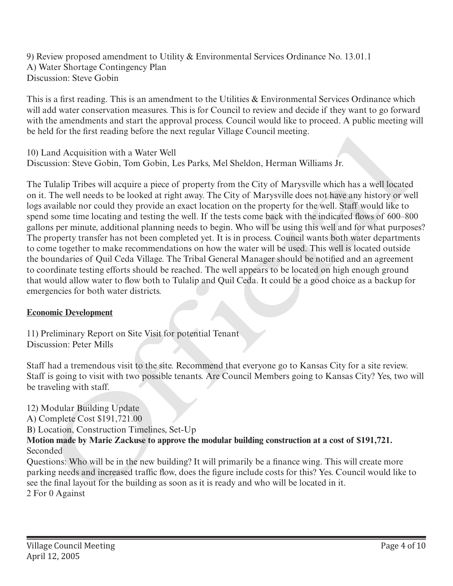9) Review proposed amendment to Utility & Environmental Services Ordinance No. 13.01.1 A) Water Shortage Contingency Plan Discussion: Steve Gobin

This is a first reading. This is an amendment to the Utilities & Environmental Services Ordinance which will add water conservation measures. This is for Council to review and decide if they want to go forward with the amendments and start the approval process. Council would like to proceed. A public meeting will be held for the first reading before the next regular Village Council meeting.

10) Land Acquisition with a Water Well Discussion: Steve Gobin, Tom Gobin, Les Parks, Mel Sheldon, Herman Williams Jr.

The Tulalip Tribes will acquire a piece of property from the City of Marysville which has a well located on it. The well needs to be looked at right away. The City of Marysville does not have any history or well logs available nor could they provide an exact location on the property for the well. Staff would like to spend some time locating and testing the well. If the tests come back with the indicated flows of 600–800 gallons per minute, additional planning needs to begin. Who will be using this well and for what purposes? The property transfer has not been completed yet. It is in process. Council wants both water departments to come together to make recommendations on how the water will be used. This well is located outside the boundaries of Quil Ceda Village. The Tribal General Manager should be notified and an agreement to coordinate testing efforts should be reached. The well appears to be located on high enough ground that would allow water to flow both to Tulalip and Quil Ceda. It could be a good choice as a backup for emergencies for both water districts. be nela for the nrst leading before the next regular village Council meeting.<br>
16) Land Acquisitation with a Warter Well To-Reaction Silveston Silveston Silveston Silveston Silves Gobin, Tom Gobin, Tom Gobin, I.es Parks, M

### **Economic Development**

11) Preliminary Report on Site Visit for potential Tenant Discussion: Peter Mills

Staff had a tremendous visit to the site. Recommend that everyone go to Kansas City for a site review. Staff is going to visit with two possible tenants. Are Council Members going to Kansas City? Yes, two will be traveling with staff.

12) Modular Building Update

A) Complete Cost \$191,721.00

B) Location, Construction Timelines, Set-Up

### **Motion made by Marie Zackuse to approve the modular building construction at a cost of \$191,721.**  Seconded

Questions: Who will be in the new building? It will primarily be a finance wing. This will create more parking needs and increased traffic flow, does the figure include costs for this? Yes. Council would like to see the final layout for the building as soon as it is ready and who will be located in it.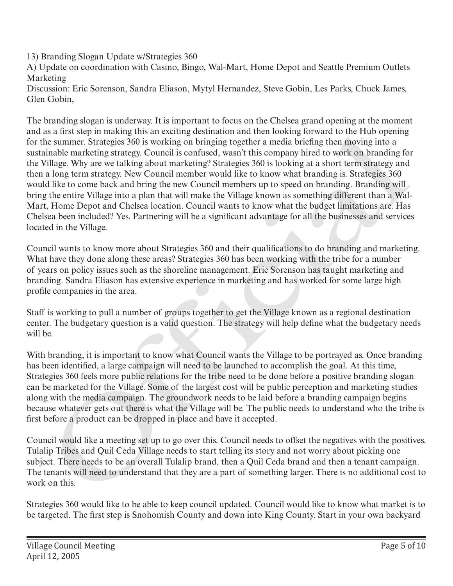13) Branding Slogan Update w/Strategies 360

A) Update on coordination with Casino, Bingo, Wal-Mart, Home Depot and Seattle Premium Outlets Marketing

Discussion: Eric Sorenson, Sandra Eliason, Mytyl Hernandez, Steve Gobin, Les Parks, Chuck James, Glen Gobin,

The branding slogan is underway. It is important to focus on the Chelsea grand opening at the moment and as a first step in making this an exciting destination and then looking forward to the Hub opening for the summer. Strategies 360 is working on bringing together a media briefing then moving into a sustainable marketing strategy. Council is confused, wasn't this company hired to work on branding for the Village. Why are we talking about marketing? Strategies 360 is looking at a short term strategy and then a long term strategy. New Council member would like to know what branding is. Strategies 360 would like to come back and bring the new Council members up to speed on branding. Branding will bring the entire Village into a plan that will make the Village known as something different than a Wal-Mart, Home Depot and Chelsea location. Council wants to know what the budget limitations are. Has Chelsea been included? Yes. Partnering will be a significant advantage for all the businesses and services located in the Village. as a mst step in matema partschim gaetsmand an the income threat of one tup opening<br>as a mst step in matematic step is working on bringing together a media briefing then moving into a<br>incident achievally strategies 360 is

Council wants to know more about Strategies 360 and their qualifications to do branding and marketing. What have they done along these areas? Strategies 360 has been working with the tribe for a number of years on policy issues such as the shoreline management. Eric Sorenson has taught marketing and branding. Sandra Eliason has extensive experience in marketing and has worked for some large high profile companies in the area.

Staff is working to pull a number of groups together to get the Village known as a regional destination center. The budgetary question is a valid question. The strategy will help define what the budgetary needs will be.

With branding, it is important to know what Council wants the Village to be portrayed as. Once branding has been identified, a large campaign will need to be launched to accomplish the goal. At this time, Strategies 360 feels more public relations for the tribe need to be done before a positive branding slogan can be marketed for the Village. Some of the largest cost will be public perception and marketing studies along with the media campaign. The groundwork needs to be laid before a branding campaign begins because whatever gets out there is what the Village will be. The public needs to understand who the tribe is first before a product can be dropped in place and have it accepted.

Council would like a meeting set up to go over this. Council needs to offset the negatives with the positives. Tulalip Tribes and Quil Ceda Village needs to start telling its story and not worry about picking one subject. There needs to be an overall Tulalip brand, then a Quil Ceda brand and then a tenant campaign. The tenants will need to understand that they are a part of something larger. There is no additional cost to work on this.

Strategies 360 would like to be able to keep council updated. Council would like to know what market is to be targeted. The first step is Snohomish County and down into King County. Start in your own backyard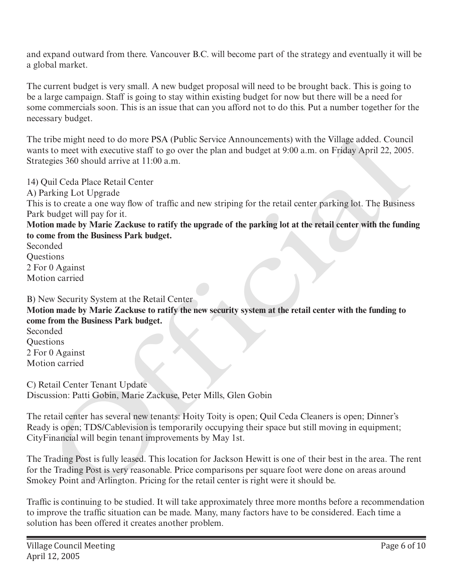and expand outward from there. Vancouver B.C. will become part of the strategy and eventually it will be a global market.

The current budget is very small. A new budget proposal will need to be brought back. This is going to be a large campaign. Staff is going to stay within existing budget for now but there will be a need for some commercials soon. This is an issue that can you afford not to do this. Put a number together for the necessary budget.

The tribe might need to do more PSA (Public Service Announcements) with the Village added. Council wants to meet with executive staff to go over the plan and budget at 9:00 a.m. on Friday April 22, 2005. Strategies 360 should arrive at 11:00 a.m.

14) Quil Ceda Place Retail Center A) Parking Lot Upgrade This is to create a one way flow of traffic and new striping for the retail center parking lot. The Business Park budget will pay for it. tribe might need to do more PSA (Public Service Announcements) with the Village added. Counci<br>
sto one to with executive staff to go over the plan and budget at 9:00 a.m. on Friday April 22, 2005<br>
agis 3:60 should arrive a

**Motion made by Marie Zackuse to ratify the upgrade of the parking lot at the retail center with the funding to come from the Business Park budget.**

Seconded **Ouestions** 2 For 0 Against Motion carried

B) New Security System at the Retail Center **Motion made by Marie Zackuse to ratify the new security system at the retail center with the funding to come from the Business Park budget.** Seconded

Questions 2 For 0 Against Motion carried

C) Retail Center Tenant Update Discussion: Patti Gobin, Marie Zackuse, Peter Mills, Glen Gobin

The retail center has several new tenants: Hoity Toity is open; Quil Ceda Cleaners is open; Dinner's Ready is open; TDS/Cablevision is temporarily occupying their space but still moving in equipment; CityFinancial will begin tenant improvements by May 1st.

The Trading Post is fully leased. This location for Jackson Hewitt is one of their best in the area. The rent for the Trading Post is very reasonable. Price comparisons per square foot were done on areas around Smokey Point and Arlington. Pricing for the retail center is right were it should be.

Traffic is continuing to be studied. It will take approximately three more months before a recommendation to improve the traffic situation can be made. Many, many factors have to be considered. Each time a solution has been offered it creates another problem.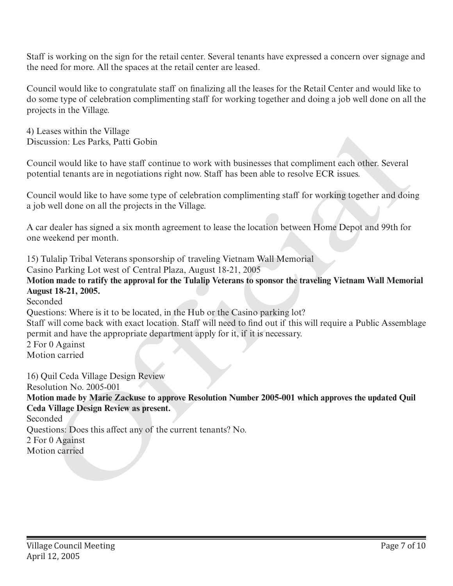Staff is working on the sign for the retail center. Several tenants have expressed a concern over signage and the need for more. All the spaces at the retail center are leased.

Council would like to congratulate staff on finalizing all the leases for the Retail Center and would like to do some type of celebration complimenting staff for working together and doing a job well done on all the projects in the Village.

4) Leases within the Village Discussion: Les Parks, Patti Gobin

Council would like to have staff continue to work with businesses that compliment each other. Several potential tenants are in negotiations right now. Staff has been able to resolve ECR issues.

Council would like to have some type of celebration complimenting staff for working together and doing a job well done on all the projects in the Village.

A car dealer has signed a six month agreement to lease the location between Home Depot and 99th for one weekend per month.

15) Tulalip Tribal Veterans sponsorship of traveling Vietnam Wall Memorial

Casino Parking Lot west of Central Plaza, August 18-21, 2005

**Motion made to ratify the approval for the Tulalip Veterans to sponsor the traveling Vietnam Wall Memorial August 18-21, 2005.**

Seconded Questions: Where is it to be located, in the Hub or the Casino parking lot? Staff will come back with exact location. Staff will need to find out if this will require a Public Assemblage permit and have the appropriate department apply for it, if it is necessary. 2 For 0 Against Motion carried

16) Quil Ceda Village Design Review Resolution No. 2005-001 **Motion made by Marie Zackuse to approve Resolution Number 2005-001 which approves the updated Quil Ceda Village Design Review as present.** Seconded Questions: Does this affect any of the current tenants? No. 2 For 0 Against 4) Leases within the vintuge<br>
Chicassion: I. es Parks, Patti Gobin<br>
Council would like to have staff continue to work with businesses that compliment each other. Several<br>
potential tenants are in negotiations right now. St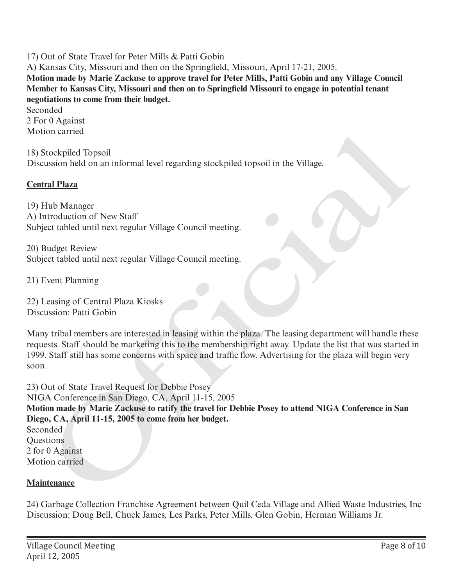17) Out of State Travel for Peter Mills & Patti Gobin

A) Kansas City, Missouri and then on the Springfield, Missouri, April 17-21, 2005. **Motion made by Marie Zackuse to approve travel for Peter Mills, Patti Gobin and any Village Council Member to Kansas City, Missouri and then on to Springfield Missouri to engage in potential tenant negotiations to come from their budget.**

Seconded 2 For 0 Against Motion carried

18) Stockpiled Topsoil Discussion held on an informal level regarding stockpiled topsoil in the Village.

# **Central Plaza**

19) Hub Manager A) Introduction of New Staff Subject tabled until next regular Village Council meeting.

20) Budget Review Subject tabled until next regular Village Council meeting.

21) Event Planning

22) Leasing of Central Plaza Kiosks Discussion: Patti Gobin

Many tribal members are interested in leasing within the plaza. The leasing department will handle these requests. Staff should be marketing this to the membership right away. Update the list that was started in 1999. Staff still has some concerns with space and traffic flow. Advertising for the plaza will begin very soon.

23) Out of State Travel Request for Debbie Posey NIGA Conference in San Diego, CA, April 11-15, 2005 **Motion made by Marie Zackuse to ratify the travel for Debbie Posey to attend NIGA Conference in San Diego, CA, April 11-15, 2005 to come from her budget.** Seconded **Ouestions** 2 for 0 Against Motion carried on carried<br>ito chypided Topsoil<br>tionship and on an informal level regarding stock-piled topsoil in the Village.<br> **In Plaza**<br>
Hub Manager<br>
Hub Manager<br>
Hub Manager<br>
Hub Manager<br>
Hub Manager<br>
Hub Manager<br>
Hub Manager<br>
Hub Ma

### **Maintenance**

24) Garbage Collection Franchise Agreement between Quil Ceda Village and Allied Waste Industries, Inc Discussion: Doug Bell, Chuck James, Les Parks, Peter Mills, Glen Gobin, Herman Williams Jr.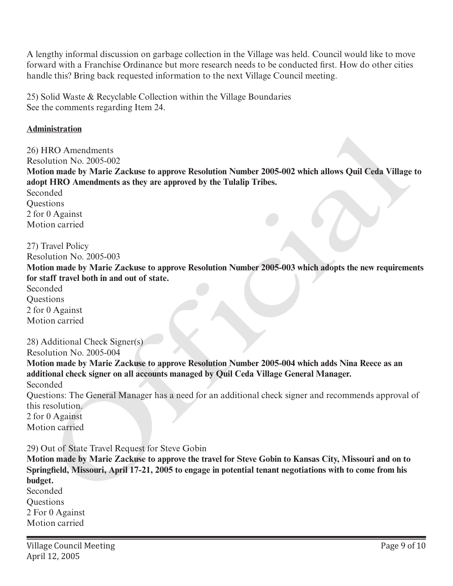A lengthy informal discussion on garbage collection in the Village was held. Council would like to move forward with a Franchise Ordinance but more research needs to be conducted first. How do other cities handle this? Bring back requested information to the next Village Council meeting.

25) Solid Waste & Recyclable Collection within the Village Boundaries See the comments regarding Item 24.

#### **Administration**

26) HRO Amendments Resolution No. 2005-002 **Motion made by Marie Zackuse to approve Resolution Number 2005-002 which allows Quil Ceda Village to adopt HRO Amendments as they are approved by the Tulalip Tribes.** Seconded **Questions** 2 for 0 Against Motion carried massimum<br>(HCl Amendments<br>
HCl Amendments<br>
HCl Amendments as they are approve Resolution Number 2005-002 which allows Quil Ceda Village<br>
one HTRO Amendments as they are approved by the Tulalip Tribes.<br>
Travel HTRO Amendment

27) Travel Policy

Resolution No. 2005-003

**Motion made by Marie Zackuse to approve Resolution Number 2005-003 which adopts the new requirements for staff travel both in and out of state.**

Seconded **Ouestions** 2 for 0 Against Motion carried

28) Additional Check Signer(s)

Resolution No. 2005-004

**Motion made by Marie Zackuse to approve Resolution Number 2005-004 which adds Nina Reece as an additional check signer on all accounts managed by Quil Ceda Village General Manager.**  Seconded

Questions: The General Manager has a need for an additional check signer and recommends approval of this resolution.

2 for 0 Against Motion carried

29) Out of State Travel Request for Steve Gobin

**Motion made by Marie Zackuse to approve the travel for Steve Gobin to Kansas City, Missouri and on to Springfield, Missouri, April 17-21, 2005 to engage in potential tenant negotiations with to come from his budget.** Seconded Questions 2 For 0 Against Motion carried